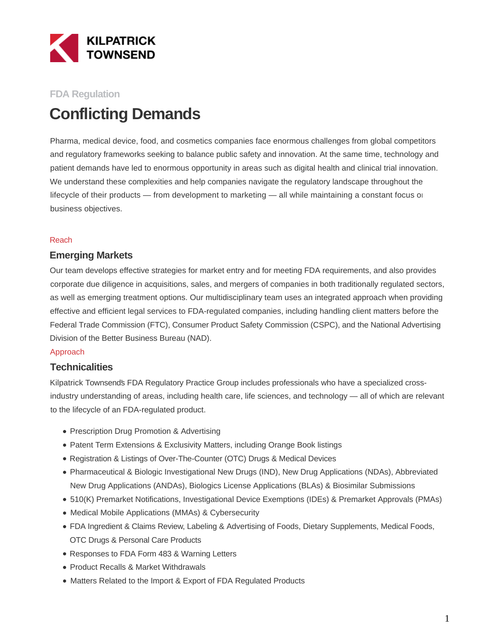

## **FDA Regulation**

# **Conflicting Demands**

Pharma, medical device, food, and cosmetics companies face enormous challenges from global competitors and regulatory frameworks seeking to balance public safety and innovation. At the same time, technology and patient demands have led to enormous opportunity in areas such as digital health and clinical trial innovation. We understand these complexities and help companies navigate the regulatory landscape throughout the lifecycle of their products — from development to marketing — all while maintaining a constant focus on business objectives.

#### Reach

### **Emerging Markets**

Our team develops effective strategies for market entry and for meeting FDA requirements, and also provides corporate due diligence in acquisitions, sales, and mergers of companies in both traditionally regulated sectors, as well as emerging treatment options. Our multidisciplinary team uses an integrated approach when providing effective and efficient legal services to FDA-regulated companies, including handling client matters before the Federal Trade Commission (FTC), Consumer Product Safety Commission (CSPC), and the National Advertising Division of the Better Business Bureau (NAD).

#### Approach

### **Technicalities**

Kilpatrick Townsend's FDA Regulatory Practice Group includes professionals who have a specialized crossindustry understanding of areas, including health care, life sciences, and technology — all of which are relevant to the lifecycle of an FDA-regulated product.

- Prescription Drug Promotion & Advertising
- Patent Term Extensions & Exclusivity Matters, including Orange Book listings
- Registration & Listings of Over-The-Counter (OTC) Drugs & Medical Devices
- Pharmaceutical & Biologic Investigational New Drugs (IND), New Drug Applications (NDAs), Abbreviated New Drug Applications (ANDAs), Biologics License Applications (BLAs) & Biosimilar Submissions
- 510(K) Premarket Notifications, Investigational Device Exemptions (IDEs) & Premarket Approvals (PMAs)
- Medical Mobile Applications (MMAs) & Cybersecurity
- FDA Ingredient & Claims Review, Labeling & Advertising of Foods, Dietary Supplements, Medical Foods, OTC Drugs & Personal Care Products
- Responses to FDA Form 483 & Warning Letters
- Product Recalls & Market Withdrawals
- Matters Related to the Import & Export of FDA Regulated Products